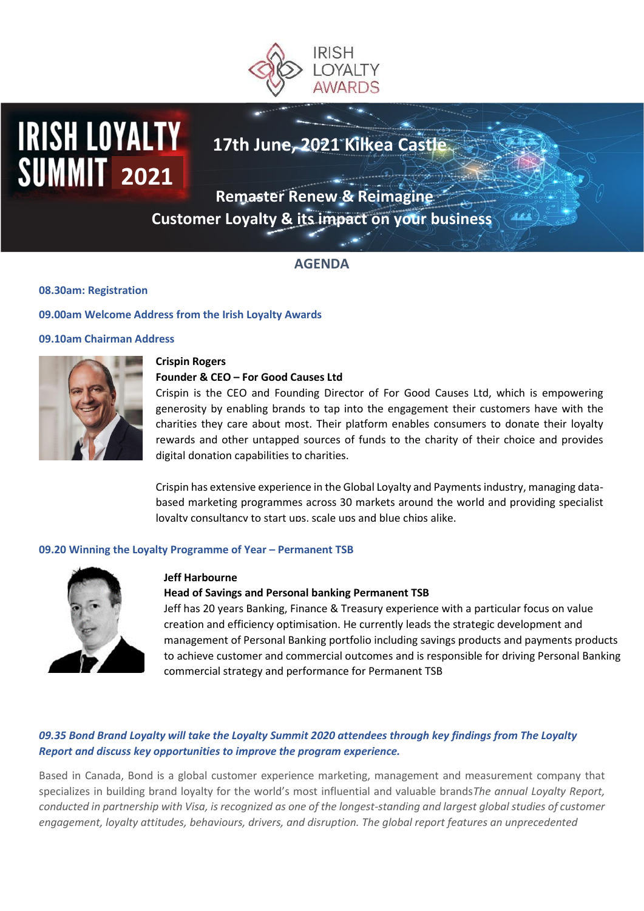

# **IRISH LOYALTY 2021**

# **17th June, 2021 Kilkea Castle**

**Remaster Renew & Reimagine** 

**Customer Loyalty & its impact on your business** 

# **AGENDA**

**08.30am: Registration**

**09.00am Welcome Address from the Irish Loyalty Awards**

#### **09.10am Chairman Address**



#### **Crispin Rogers**

#### **Founder & CEO – For Good Causes Ltd**

Crispin is the CEO and Founding Director of For Good Causes Ltd, which is empowering generosity by enabling brands to tap into the engagement their customers have with the charities they care about most. Their platform enables consumers to donate their loyalty rewards and other untapped sources of funds to the charity of their choice and provides digital donation capabilities to charities.

Crispin has extensive experience in the Global Loyalty and Payments industry, managing databased marketing programmes across 30 markets around the world and providing specialist lovalty consultancy to start ups, scale ups and blue chips alike.

#### **09.20 Winning the Loyalty Programme of Year – Permanent TSB**



#### **Jeff Harbourne**

#### **Head of Savings and Personal banking Permanent TSB**

Jeff has 20 years Banking, Finance & Treasury experience with a particular focus on value creation and efficiency optimisation. He currently leads the strategic development and management of Personal Banking portfolio including savings products and payments products to achieve customer and commercial outcomes and is responsible for driving Personal Banking commercial strategy and performance for Permanent TSB

### *09.35 Bond Brand Loyalty will take the Loyalty Summit 2020 attendees through key findings from The Loyalty Report and discuss key opportunities to improve the program experience.*

Based in Canada, Bond is a global customer experience marketing, management and measurement company that specializes in building brand loyalty for the world's most influential and valuable brands*The annual Loyalty Report, conducted in partnership with Visa, is recognized as one of the longest-standing and largest global studies of customer engagement, loyalty attitudes, behaviours, drivers, and disruption. The global report features an unprecedented*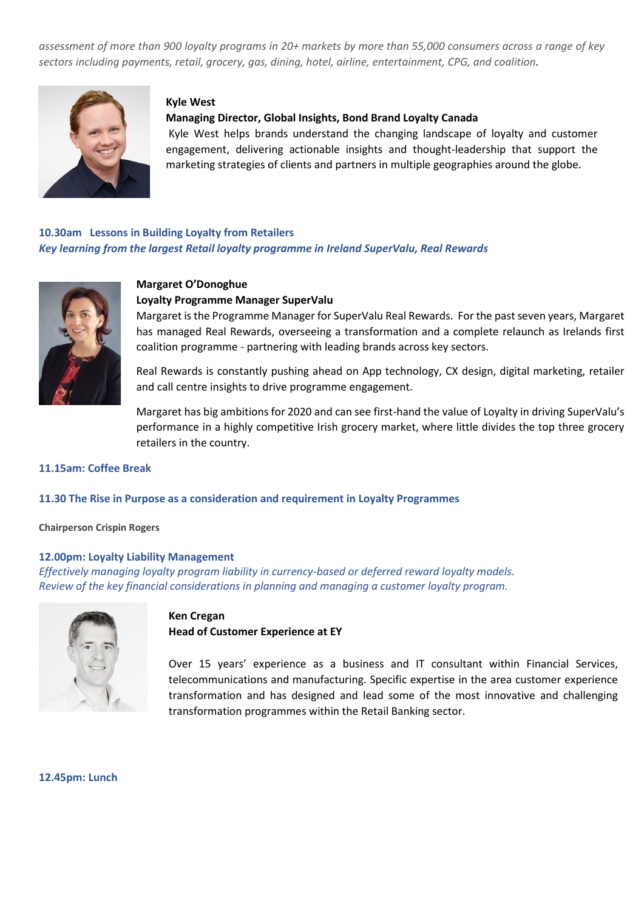*assessment of more than 900 loyalty programs in 20+ markets by more than 55,000 consumers across a range of key sectors including payments, retail, grocery, gas, dining, hotel, airline, entertainment, CPG, and coalition.*



#### **Kyle West**

#### **Managing Director, Global Insights, Bond Brand Loyalty Canada**

Kyle West helps brands understand the changing landscape of loyalty and customer engagement, delivering actionable insights and thought-leadership that support the marketing strategies of clients and partners in multiple geographies around the globe.

## **10.30am Lessons in Building Loyalty from Retailers** understand the attitudes and Merchants understand the attitudes of Key learning from the largest Retail loyalty programme in Ireland SuperValu, Real Rewards



# **Proven track record of developing insight-driven digital and digital and discrete marketing, new and discrete marketing, new and discrete marketing, new and discrete marketing, new and discrete marketing, new and discrete**

#### **Loyalty Programme Manager SuperValu <br>**

Margaret is the Programme Manager for SuperValu Real Rewards. For the past seven years, Margaret has managed Real Rewards, overseeing a transformation and a complete relaunch as Irelands first coalition programme - partnering with leading brands across key sectors.

Real Rewards is constantly pushing ahead on App technology, CX design, digital marketing, retailer and call centre insights to drive programme engagement.

Margaret has big ambitions for 2020 and can see first-hand the value of Loyalty in driving SuperValu's performance in a highly competitive Irish grocery market, where little divides the top three grocery retailers in the country.

#### **11.15am: Coffee Break**

#### **11.30 The Rise in Purpose as a consideration and requirement in Loyalty Programmes**

**Chairperson Crispin Rogers** 

#### **12.00pm: Loyalty Liability Management**

*Effectively managing loyalty program liability in currency-based or deferred reward loyalty models. Review of the key financial considerations in planning and managing a customer loyalty program.*



#### **Ken Cregan Head of Customer Experience at EY**

Over 15 years' experience as a business and IT consultant within Financial Services, telecommunications and manufacturing. Specific expertise in the area customer experience transformation and has designed and lead some of the most innovative and challenging transformation programmes within the Retail Banking sector.

**12.45pm: Lunch**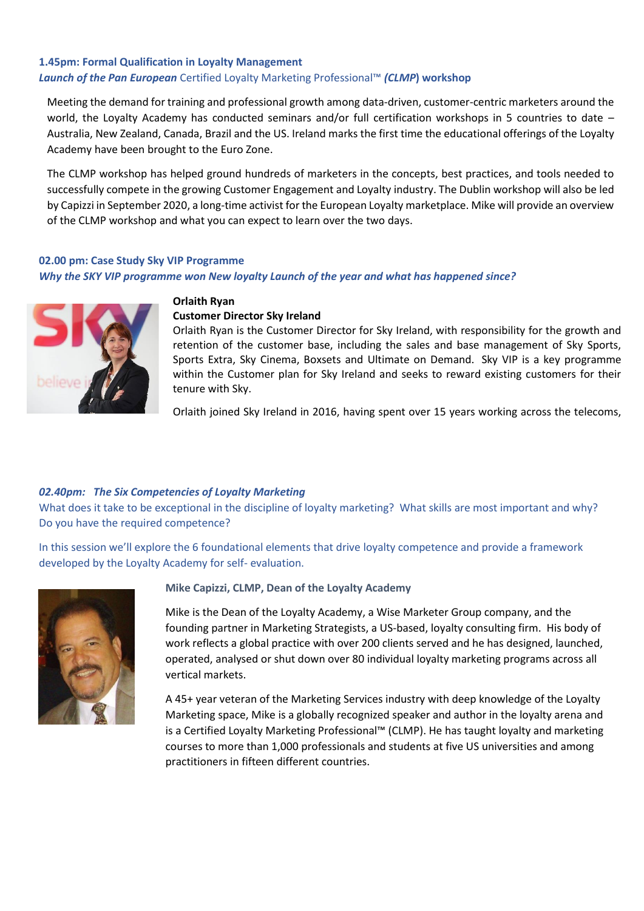## **1.45pm: Formal Qualification in Loyalty Management**  *Launch of the Pan European* Certified Loyalty Marketing Professional™ *(CLMP***) workshop**

Meeting the demand for training and professional growth among data-driven, customer-centric marketers around the world, the Loyalty Academy has conducted seminars and/or full certification workshops in 5 countries to date – Australia, New Zealand, Canada, Brazil and the US. Ireland marks the first time the educational offerings of the Loyalty Academy have been brought to the Euro Zone.

The CLMP workshop has helped ground hundreds of marketers in the concepts, best practices, and tools needed to successfully compete in the growing Customer Engagement and Loyalty industry. The Dublin workshop will also be led by Capizzi in September 2020, a long-time activist for the European Loyalty marketplace. Mike will provide an overview of the CLMP workshop and what you can expect to learn over the two days.

#### **02.00 pm: Case Study Sky VIP Programme**

*Why the SKY VIP programme won New loyalty Launch of the year and what has happened since?*



# **Orlaith Ryan**

#### **Customer Director Sky Ireland**

Orlaith Ryan is the Customer Director for Sky Ireland, with responsibility for the growth and retention of the customer base, including the sales and base management of Sky Sports, Sports Extra, Sky Cinema, Boxsets and Ultimate on Demand. Sky VIP is a key programme within the Customer plan for Sky Ireland and seeks to reward existing customers for their tenure with Sky.

Orlaith joined Sky Ireland in 2016, having spent over 15 years working across the telecoms,

#### *02.40pm: The Six Competencies of Loyalty Marketing*

What does it take to be exceptional in the discipline of loyalty marketing? What skills are most important and why? Do you have the required competence?

In this session we'll explore the 6 foundational elements that drive loyalty competence and provide a framework developed by the Loyalty Academy for self- evaluation.



#### **Mike Capizzi, CLMP, Dean of the Loyalty Academy**

Mike is the Dean of the Loyalty Academy, a Wise Marketer Group company, and the founding partner in Marketing Strategists, a US-based, loyalty consulting firm. His body of work reflects a global practice with over 200 clients served and he has designed, launched, operated, analysed or shut down over 80 individual loyalty marketing programs across all vertical markets.

A 45+ year veteran of the Marketing Services industry with deep knowledge of the Loyalty Marketing space, Mike is a globally recognized speaker and author in the loyalty arena and is a Certified Loyalty Marketing Professional™ (CLMP). He has taught loyalty and marketing courses to more than 1,000 professionals and students at five US universities and among practitioners in fifteen different countries.